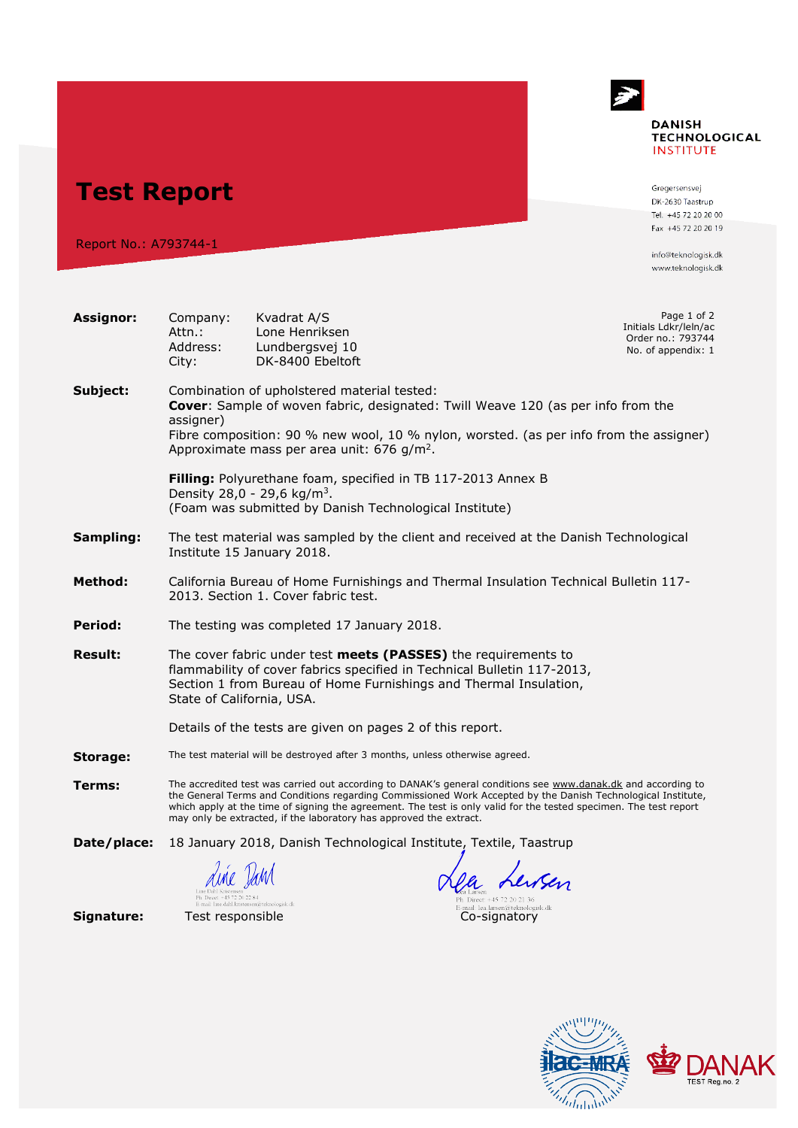## $\rightarrow$ **DANISH TECHNOLOGICAL INSTITUTE**

**Test Report**

Report No.: A793744-1

Gregersensvej DK-2630 Taastrup Tel. +45 72 20 20 00 Fax +45 72 20 20 19

info@teknologisk.dk www.teknologisk.dk

**Service** 

**ac-MRA** 

The Colombia

43

**DANAK** 

| <b>Assignor:</b> | Company:<br>Attn.:<br>Address:<br>City:                                                                                                                                                                                                                                                                                                                                                                                  | Kvadrat A/S<br>Lone Henriksen<br>Lundbergsvej 10<br>DK-8400 Ebeltoft                                                                                              |                                                   | Page 1 of 2<br>Initials Ldkr/leln/ac<br>Order no.: 793744<br>No. of appendix: 1 |  |
|------------------|--------------------------------------------------------------------------------------------------------------------------------------------------------------------------------------------------------------------------------------------------------------------------------------------------------------------------------------------------------------------------------------------------------------------------|-------------------------------------------------------------------------------------------------------------------------------------------------------------------|---------------------------------------------------|---------------------------------------------------------------------------------|--|
| Subject:         | Combination of upholstered material tested:<br>Cover: Sample of woven fabric, designated: Twill Weave 120 (as per info from the<br>assigner)<br>Fibre composition: 90 % new wool, 10 % nylon, worsted. (as per info from the assigner)<br>Approximate mass per area unit: 676 g/m <sup>2</sup> .                                                                                                                         |                                                                                                                                                                   |                                                   |                                                                                 |  |
|                  |                                                                                                                                                                                                                                                                                                                                                                                                                          | Filling: Polyurethane foam, specified in TB 117-2013 Annex B<br>Density 28,0 - 29,6 kg/m <sup>3</sup> .<br>(Foam was submitted by Danish Technological Institute) |                                                   |                                                                                 |  |
| Sampling:        | The test material was sampled by the client and received at the Danish Technological<br>Institute 15 January 2018.                                                                                                                                                                                                                                                                                                       |                                                                                                                                                                   |                                                   |                                                                                 |  |
| Method:          | California Bureau of Home Furnishings and Thermal Insulation Technical Bulletin 117-<br>2013. Section 1. Cover fabric test.                                                                                                                                                                                                                                                                                              |                                                                                                                                                                   |                                                   |                                                                                 |  |
| Period:          | The testing was completed 17 January 2018.                                                                                                                                                                                                                                                                                                                                                                               |                                                                                                                                                                   |                                                   |                                                                                 |  |
| <b>Result:</b>   | The cover fabric under test meets (PASSES) the requirements to<br>flammability of cover fabrics specified in Technical Bulletin 117-2013,<br>Section 1 from Bureau of Home Furnishings and Thermal Insulation,<br>State of California, USA.                                                                                                                                                                              |                                                                                                                                                                   |                                                   |                                                                                 |  |
|                  |                                                                                                                                                                                                                                                                                                                                                                                                                          | Details of the tests are given on pages 2 of this report.                                                                                                         |                                                   |                                                                                 |  |
| Storage:         | The test material will be destroyed after 3 months, unless otherwise agreed.                                                                                                                                                                                                                                                                                                                                             |                                                                                                                                                                   |                                                   |                                                                                 |  |
| Terms:           | The accredited test was carried out according to DANAK's general conditions see www.danak.dk and according to<br>the General Terms and Conditions regarding Commissioned Work Accepted by the Danish Technological Institute,<br>which apply at the time of signing the agreement. The test is only valid for the tested specimen. The test report<br>may only be extracted, if the laboratory has approved the extract. |                                                                                                                                                                   |                                                   |                                                                                 |  |
| Date/place:      | 18 January 2018, Danish Technological Institute, Textile, Taastrup                                                                                                                                                                                                                                                                                                                                                       |                                                                                                                                                                   |                                                   |                                                                                 |  |
|                  | Ph. Direct: +45.72.20.22.84<br>E-mail: line.dahl.kristensen@teknologisk.dk                                                                                                                                                                                                                                                                                                                                               |                                                                                                                                                                   | Ph. Direct: +45 72 20 21 36                       |                                                                                 |  |
| Signature:       | Test responsible                                                                                                                                                                                                                                                                                                                                                                                                         |                                                                                                                                                                   | E-mail: lea.larsen@teknologisk.dk<br>Co-signatory |                                                                                 |  |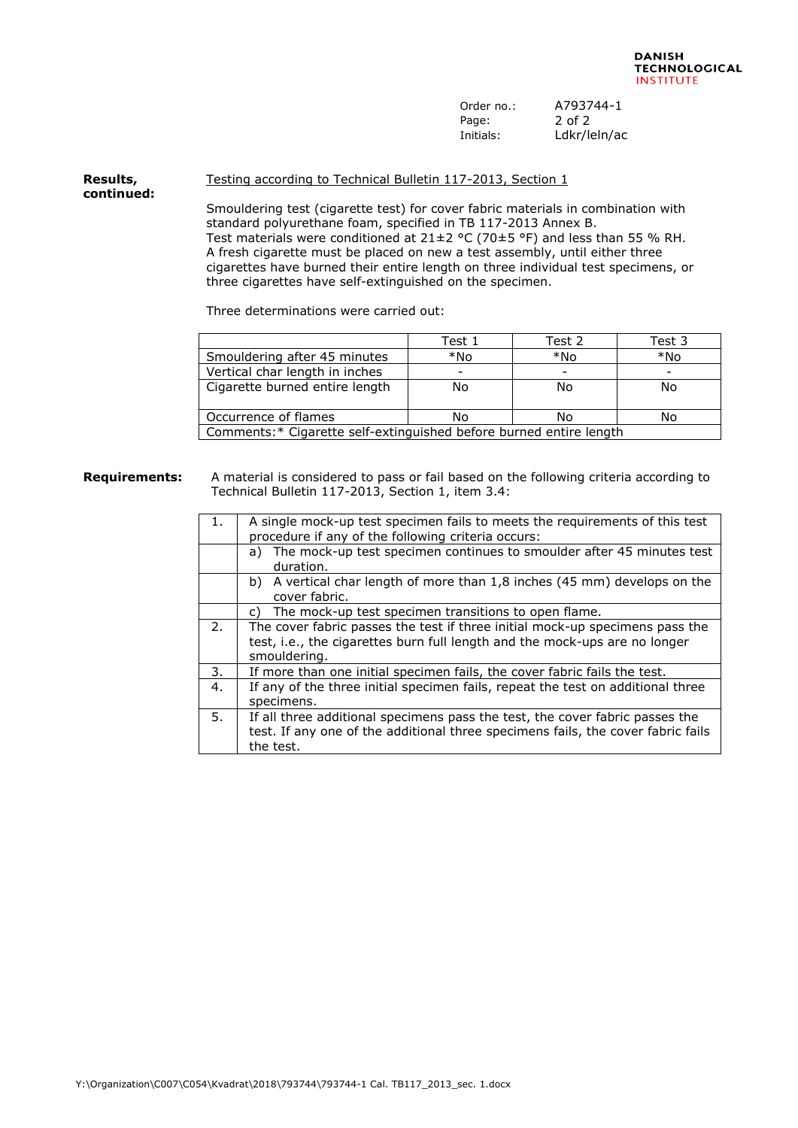| Order no.: | A793744-1    |
|------------|--------------|
| Page:      | 2 of 2       |
| Initials:  | Ldkr/leln/ac |

## **Results, continued:** Testing according to Technical Bulletin 117-2013, Section 1

Smouldering test (cigarette test) for cover fabric materials in combination with standard polyurethane foam, specified in TB 117-2013 Annex B. Test materials were conditioned at  $21\pm2$  °C (70 $\pm$ 5 °F) and less than 55 % RH. A fresh cigarette must be placed on new a test assembly, until either three cigarettes have burned their entire length on three individual test specimens, or three cigarettes have self-extinguished on the specimen.

Three determinations were carried out:

|                                                                    | Test 1 | Test 2 | Test 3 |  |
|--------------------------------------------------------------------|--------|--------|--------|--|
| Smouldering after 45 minutes                                       | *No    | *No    | *No    |  |
| Vertical char length in inches                                     |        |        |        |  |
| Cigarette burned entire length                                     | No     | No     | No     |  |
|                                                                    |        |        |        |  |
| Occurrence of flames                                               | No     | No     | No     |  |
| Comments:* Cigarette self-extinguished before burned entire length |        |        |        |  |

## **Requirements:** A material is considered to pass or fail based on the following criteria according to Technical Bulletin 117-2013, Section 1, item 3.4:

| 1. | A single mock-up test specimen fails to meets the requirements of this test<br>procedure if any of the following criteria occurs:                                             |
|----|-------------------------------------------------------------------------------------------------------------------------------------------------------------------------------|
|    | The mock-up test specimen continues to smoulder after 45 minutes test<br>a)<br>duration.                                                                                      |
|    | b) A vertical char length of more than 1,8 inches (45 mm) develops on the<br>cover fabric.                                                                                    |
|    | The mock-up test specimen transitions to open flame.<br>C)                                                                                                                    |
| 2. | The cover fabric passes the test if three initial mock-up specimens pass the<br>test, i.e., the cigarettes burn full length and the mock-ups are no longer<br>smouldering.    |
| 3. | If more than one initial specimen fails, the cover fabric fails the test.                                                                                                     |
| 4. | If any of the three initial specimen fails, repeat the test on additional three<br>specimens.                                                                                 |
| 5. | If all three additional specimens pass the test, the cover fabric passes the<br>test. If any one of the additional three specimens fails, the cover fabric fails<br>the test. |